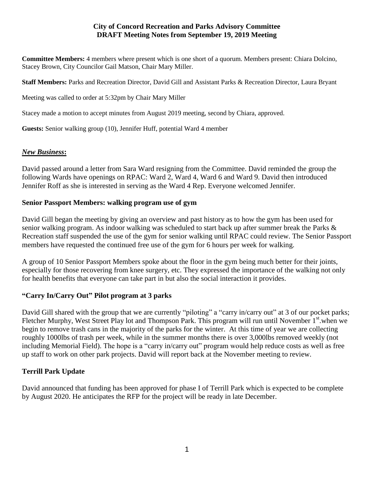#### **City of Concord Recreation and Parks Advisory Committee DRAFT Meeting Notes from September 19, 2019 Meeting**

**Committee Members:** 4 members where present which is one short of a quorum. Members present: Chiara Dolcino, Stacey Brown, City Councilor Gail Matson, Chair Mary Miller.

**Staff Members:** Parks and Recreation Director, David Gill and Assistant Parks & Recreation Director, Laura Bryant

Meeting was called to order at 5:32pm by Chair Mary Miller

Stacey made a motion to accept minutes from August 2019 meeting, second by Chiara, approved.

**Guests:** Senior walking group (10), Jennifer Huff, potential Ward 4 member

## *New Business***:**

David passed around a letter from Sara Ward resigning from the Committee. David reminded the group the following Wards have openings on RPAC: Ward 2, Ward 4, Ward 6 and Ward 9. David then introduced Jennifer Roff as she is interested in serving as the Ward 4 Rep. Everyone welcomed Jennifer.

## **Senior Passport Members: walking program use of gym**

David Gill began the meeting by giving an overview and past history as to how the gym has been used for senior walking program. As indoor walking was scheduled to start back up after summer break the Parks & Recreation staff suspended the use of the gym for senior walking until RPAC could review. The Senior Passport members have requested the continued free use of the gym for 6 hours per week for walking.

A group of 10 Senior Passport Members spoke about the floor in the gym being much better for their joints, especially for those recovering from knee surgery, etc. They expressed the importance of the walking not only for health benefits that everyone can take part in but also the social interaction it provides.

## **"Carry In/Carry Out" Pilot program at 3 parks**

David Gill shared with the group that we are currently "piloting" a "carry in/carry out" at 3 of our pocket parks; Fletcher Murphy, West Street Play lot and Thompson Park. This program will run until November 1<sup>st</sup> when we begin to remove trash cans in the majority of the parks for the winter. At this time of year we are collecting roughly 1000lbs of trash per week, while in the summer months there is over 3,000lbs removed weekly (not including Memorial Field). The hope is a "carry in/carry out" program would help reduce costs as well as free up staff to work on other park projects. David will report back at the November meeting to review.

## **Terrill Park Update**

David announced that funding has been approved for phase I of Terrill Park which is expected to be complete by August 2020. He anticipates the RFP for the project will be ready in late December.